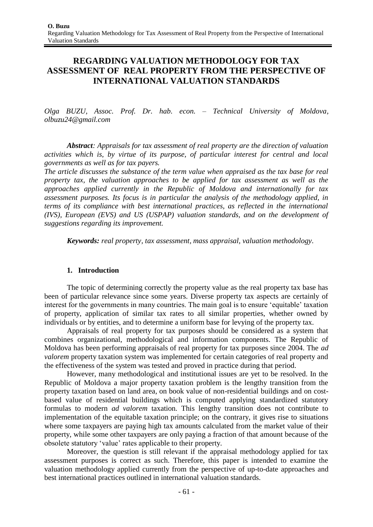# **REGARDING VALUATION METHODOLOGY FOR TAX ASSESSMENT OF REAL PROPERTY FROM THE PERSPECTIVE OF INTERNATIONAL VALUATION STANDARDS**

*Olga BUZU, Assoc. Prof. Dr. hab. econ. – Technical University of Moldova, [olbuzu24@gmail.com](mailto:olbuzu24@gmail.com)*

*Abstract: Appraisals for tax assessment of real property are the direction of valuation activities which is, by virtue of its purpose, of particular interest for central and local governments as well as for tax payers.*

*The article discusses the substance of the term value when appraised as the tax base for real property tax, the valuation approaches to be applied for tax assessment as well as the approaches applied currently in the Republic of Moldova and internationally for tax assessment purposes. Its focus is in particular the analysis of the methodology applied, in terms of its compliance with best international practices, as reflected in the international (IVS), European (EVS) and US (USPAP) valuation standards, and on the development of suggestions regarding its improvement.*

*Keywords: real property, tax assessment, mass appraisal, valuation methodology.*

# **1. Introduction**

The topic of determining correctly the property value as the real property tax base has been of particular relevance since some years. Diverse property tax aspects are certainly of interest for the governments in many countries. The main goal is to ensure 'equitable' taxation of property, application of similar tax rates to all similar properties, whether owned by individuals or by entities, and to determine a uniform base for levying of the property tax.

Appraisals of real property for tax purposes should be considered as a system that combines organizational, methodological and information components. The Republic of Moldova has been performing appraisals of real property for tax purposes since 2004. The *ad valorem* property taxation system was implemented for certain categories of real property and the effectiveness of the system was tested and proved in practice during that period.

However, many methodological and institutional issues are yet to be resolved. In the Republic of Moldova a major property taxation problem is the lengthy transition from the property taxation based on land area, on book value of non-residential buildings and on costbased value of residential buildings which is computed applying standardized statutory formulas to modern *ad valorem* taxation. This lengthy transition does not contribute to implementation of the equitable taxation principle; on the contrary, it gives rise to situations where some taxpayers are paying high tax amounts calculated from the market value of their property, while some other taxpayers are only paying a fraction of that amount because of the obsolete statutory 'value' rates applicable to their property.

Moreover, the question is still relevant if the appraisal methodology applied for tax assessment purposes is correct as such. Therefore, this paper is intended to examine the valuation methodology applied currently from the perspective of up-to-date approaches and best international practices outlined in international valuation standards.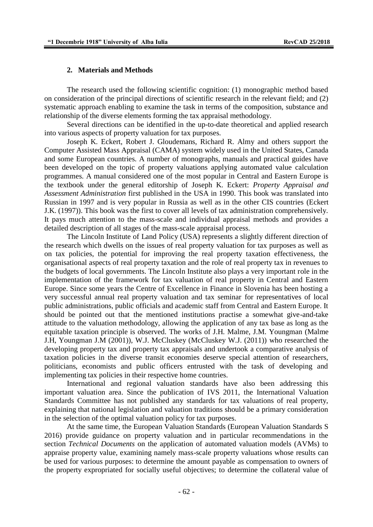#### **2. Materials and Methods**

The research used the following scientific cognition: (1) monographic method based on consideration of the principal directions of scientific research in the relevant field; and (2) systematic approach enabling to examine the task in terms of the composition, substance and relationship of the diverse elements forming the tax appraisal methodology.

Several directions can be identified in the up-to-date theoretical and applied research into various aspects of property valuation for tax purposes.

Joseph K. Eckert, Robert J. Gloudemans, Richard R. Almy and others support the Computer Assisted Mass Appraisal (CAMA) system widely used in the United States, Canada and some European countries. A number of monographs, manuals and practical guides have been developed on the topic of property valuations applying automated value calculation programmes. A manual considered one of the most popular in Central and Eastern Europe is the textbook under the general editorship of Joseph K. Eckert: *Property Appraisal and Assessment Administration* first published in the USA in 1990. This book was translated into Russian in 1997 and is very popular in Russia as well as in the other CIS countries (Eckert J.K. (1997)). This book was the first to cover all levels of tax administration comprehensively. It pays much attention to the mass-scale and individual appraisal methods and provides a detailed description of all stages of the mass-scale appraisal process.

The Lincoln Institute of Land Policy (USA) represents a slightly different direction of the research which dwells on the issues of real property valuation for tax purposes as well as on tax policies, the potential for improving the real property taxation effectiveness, the organisational aspects of real property taxation and the role of real property tax in revenues to the budgets of local governments. The Lincoln Institute also plays a very important role in the implementation of the framework for tax valuation of real property in Central and Eastern Europe. Since some years the Centre of Excellence in Finance in Slovenia has been hosting a very successful annual real property valuation and tax seminar for representatives of local public administrations, public officials and academic staff from Central and Eastern Europe. It should be pointed out that the mentioned institutions practise a somewhat give-and-take attitude to the valuation methodology, allowing the application of any tax base as long as the equitable taxation principle is observed. The works of J.H. Malme, J.M. Youngman (Malme J.H, Youngman J.M (2001)), W.J. McCluskey (McCluskey W.J. (2011)) who researched the developing property tax and property tax appraisals and undertook a comparative analysis of taxation policies in the diverse transit economies deserve special attention of researchers, politicians, economists and public officers entrusted with the task of developing and implementing tax policies in their respective home countries.

International and regional valuation standards have also been addressing this important valuation area. Since the publication of IVS 2011, the International Valuation Standards Committee has not published any standards for tax valuations of real property, explaining that national legislation and valuation traditions should be a primary consideration in the selection of the optimal valuation policy for tax purposes.

At the same time, the European Valuation Standards (European Valuation Standards S 2016) provide guidance on property valuation and in particular recommendations in the section *Technical Documents* on the application of automated valuation models (AVMs) to appraise property value, examining namely mass-scale property valuations whose results can be used for various purposes: to determine the amount payable as compensation to owners of the property expropriated for socially useful objectives; to determine the collateral value of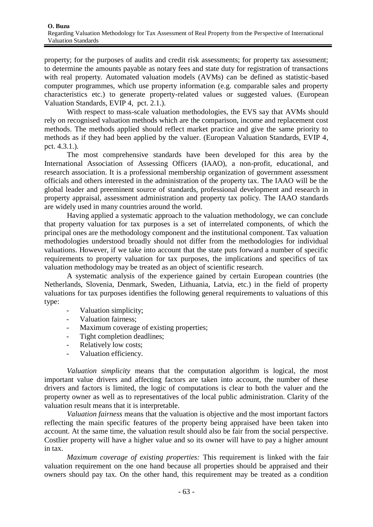property; for the purposes of audits and credit risk assessments; for property tax assessment; to determine the amounts payable as notary fees and state duty for registration of transactions with real property. Automated valuation models (AVMs) can be defined as statistic-based computer programmes, which use property information (e.g. comparable sales and property characteristics etc.) to generate property-related values or suggested values. (European Valuation Standards, EVIP 4, pct. 2.1.).

With respect to mass-scale valuation methodologies, the EVS say that AVMs should rely on recognised valuation methods which are the comparison, income and replacement cost methods. The methods applied should reflect market practice and give the same priority to methods as if they had been applied by the valuer. (European Valuation Standards, EVIP 4, pct. 4.3.1.).

The most comprehensive standards have been developed for this area by the International Association of Assessing Officers (IAAO), a non-profit, educational, and research association. It is a professional membership organization of government assessment officials and others interested in the administration of the property tax. The IAAO will be the global leader and preeminent source of standards, professional development and research in property appraisal, assessment administration and property tax policy. The IAAO standards are widely used in many countries around the world.

Having applied a systematic approach to the valuation methodology, we can conclude that property valuation for tax purposes is a set of interrelated components, of which the principal ones are the methodology component and the institutional component. Tax valuation methodologies understood broadly should not differ from the methodologies for individual valuations. However, if we take into account that the state puts forward a number of specific requirements to property valuation for tax purposes, the implications and specifics of tax valuation methodology may be treated as an object of scientific research.

A systematic analysis of the experience gained by certain European countries (the Netherlands, Slovenia, Denmark, Sweden, Lithuania, Latvia, etc.) in the field of property valuations for tax purposes identifies the following general requirements to valuations of this type:

- Valuation simplicity;
- Valuation fairness;
- Maximum coverage of existing properties;
- Tight completion deadlines;
- Relatively low costs;
- Valuation efficiency.

*Valuation simplicity* means that the computation algorithm is logical, the most important value drivers and affecting factors are taken into account, the number of these drivers and factors is limited, the logic of computations is clear to both the valuer and the property owner as well as to representatives of the local public administration. Clarity of the valuation result means that it is interpretable.

*Valuation fairness* means that the valuation is objective and the most important factors reflecting the main specific features of the property being appraised have been taken into account. At the same time, the valuation result should also be fair from the social perspective. Costlier property will have a higher value and so its owner will have to pay a higher amount in tax.

*Maximum coverage of existing properties:* This requirement is linked with the fair valuation requirement on the one hand because all properties should be appraised and their owners should pay tax. On the other hand, this requirement may be treated as a condition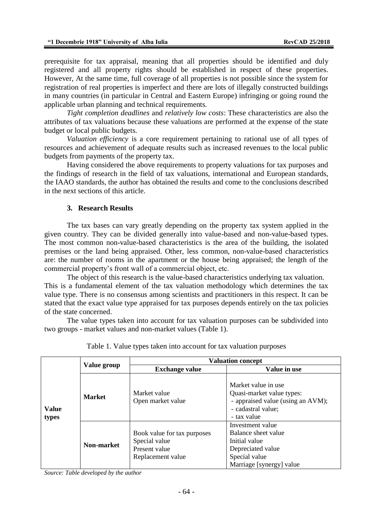prerequisite for tax appraisal, meaning that all properties should be identified and duly registered and all property rights should be established in respect of these properties. However, At the same time, full coverage of all properties is not possible since the system for registration of real properties is imperfect and there are lots of illegally constructed buildings in many countries (in particular in Central and Eastern Europe) infringing or going round the applicable urban planning and technical requirements.

*Tight completion deadlines* and *relatively low costs*: These characteristics are also the attributes of tax valuations because these valuations are performed at the expense of the state budget or local public budgets.

*Valuation efficiency* is a core requirement pertaining to rational use of all types of resources and achievement of adequate results such as increased revenues to the local public budgets from payments of the property tax.

Having considered the above requirements to property valuations for tax purposes and the findings of research in the field of tax valuations, international and European standards, the IAAO standards, the author has obtained the results and come to the conclusions described in the next sections of this article.

## **3. Research Results**

The tax bases can vary greatly depending on the property tax system applied in the given country. They can be divided generally into value-based and non-value-based types. The most common non-value-based characteristics is the area of the building, the isolated premises or the land being appraised. Other, less common, non-value-based characteristics are: the number of rooms in the apartment or the house being appraised; the length of the commercial property's front wall of a commercial object, etc.

The object of this research is the value-based characteristics underlying tax valuation. This is a fundamental element of the tax valuation methodology which determines the tax value type. There is no consensus among scientists and practitioners in this respect. It can be stated that the exact value type appraised for tax purposes depends entirely on the tax policies of the state concerned.

The value types taken into account for tax valuation purposes can be subdivided into two groups - market values and non-market values (Table 1).

|                       | Value group   | <b>Valuation concept</b>                                                           |                                                                                                                            |
|-----------------------|---------------|------------------------------------------------------------------------------------|----------------------------------------------------------------------------------------------------------------------------|
| <b>Value</b><br>types |               | <b>Exchange value</b>                                                              | Value in use                                                                                                               |
|                       | <b>Market</b> | Market value<br>Open market value                                                  | Market value in use<br>Quasi-market value types:<br>- appraised value (using an AVM);<br>- cadastral value;<br>- tax value |
|                       | Non-market    | Book value for tax purposes<br>Special value<br>Present value<br>Replacement value | Investment value<br>Balance sheet value<br>Initial value<br>Depreciated value<br>Special value<br>Marriage [synergy] value |

Table 1. Value types taken into account for tax valuation purposes

*Source: Table developed by the author*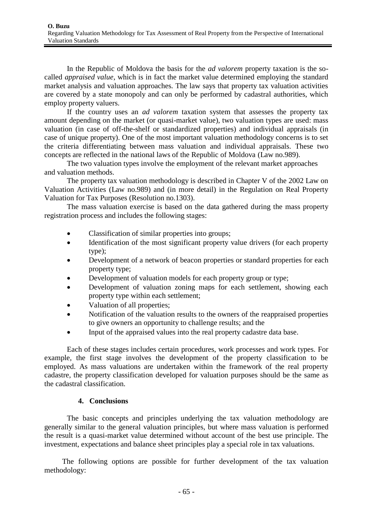In the Republic of Moldova the basis for the *ad valorem* property taxation is the socalled *appraised value*, which is in fact the market value determined employing the standard market analysis and valuation approaches. The law says that property tax valuation activities are covered by a state monopoly and can only be performed by cadastral authorities, which employ property valuers.

If the country uses an *ad valorem* taxation system that assesses the property tax amount depending on the market (or quasi-market value), two valuation types are used: mass valuation (in case of off-the-shelf or standardized properties) and individual appraisals (in case of unique property). One of the most important valuation methodology concerns is to set the criteria differentiating between mass valuation and individual appraisals. These two concepts are reflected in the national laws of the Republic of Moldova (Law no.989).

The two valuation types involve the employment of the relevant market approaches and valuation methods.

The property tax valuation methodology is described in Chapter V of the 2002 Law on Valuation Activities (Law no.989) and (in more detail) in the Regulation on Real Property Valuation for Tax Purposes (Resolution no.1303).

The mass valuation exercise is based on the data gathered during the mass property registration process and includes the following stages:

- Classification of similar properties into groups;
- Identification of the most significant property value drivers (for each property type);
- Development of a network of beacon properties or standard properties for each property type;
- Development of valuation models for each property group or type;
- Development of valuation zoning maps for each settlement, showing each property type within each settlement;
- Valuation of all properties;
- Notification of the valuation results to the owners of the reappraised properties to give owners an opportunity to challenge results; and the
- Input of the appraised values into the real property cadastre data base.

Each of these stages includes certain procedures, work processes and work types. For example, the first stage involves the development of the property classification to be employed. As mass valuations are undertaken within the framework of the real property cadastre, the property classification developed for valuation purposes should be the same as the cadastral classification.

### **4. Conclusions**

The basic concepts and principles underlying the tax valuation methodology are generally similar to the general valuation principles, but where mass valuation is performed the result is a quasi-market value determined without account of the best use principle. The investment, expectations and balance sheet principles play a special role in tax valuations.

The following options are possible for further development of the tax valuation methodology: